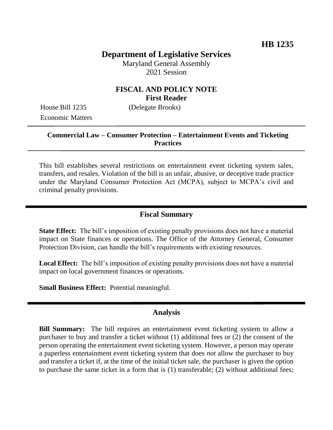# **Department of Legislative Services**

Maryland General Assembly 2021 Session

# **FISCAL AND POLICY NOTE First Reader**

House Bill 1235 (Delegate Brooks) Economic Matters

### **Commercial Law – Consumer Protection – Entertainment Events and Ticketing Practices**

This bill establishes several restrictions on entertainment event ticketing system sales, transfers, and resales. Violation of the bill is an unfair, abusive, or deceptive trade practice under the Maryland Consumer Protection Act (MCPA), subject to MCPA's civil and criminal penalty provisions.

### **Fiscal Summary**

**State Effect:** The bill's imposition of existing penalty provisions does not have a material impact on State finances or operations. The Office of the Attorney General, Consumer Protection Division, can handle the bill's requirements with existing resources.

**Local Effect:** The bill's imposition of existing penalty provisions does not have a material impact on local government finances or operations.

**Small Business Effect:** Potential meaningful.

#### **Analysis**

**Bill Summary:** The bill requires an entertainment event ticketing system to allow a purchaser to buy and transfer a ticket without (1) additional fees or (2) the consent of the person operating the entertainment event ticketing system. However, a person may operate a paperless entertainment event ticketing system that does *not* allow the purchaser to buy and transfer a ticket if, at the time of the initial ticket sale, the purchaser is given the option to purchase the same ticket in a form that is (1) transferable; (2) without additional fees;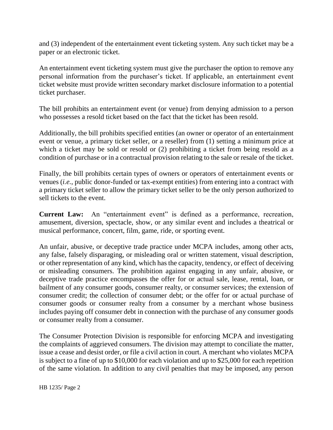and (3) independent of the entertainment event ticketing system. Any such ticket may be a paper or an electronic ticket.

An entertainment event ticketing system must give the purchaser the option to remove any personal information from the purchaser's ticket. If applicable, an entertainment event ticket website must provide written secondary market disclosure information to a potential ticket purchaser.

The bill prohibits an entertainment event (or venue) from denying admission to a person who possesses a resold ticket based on the fact that the ticket has been resold.

Additionally, the bill prohibits specified entities (an owner or operator of an entertainment event or venue, a primary ticket seller, or a reseller) from (1) setting a minimum price at which a ticket may be sold or resold or  $(2)$  prohibiting a ticket from being resold as a condition of purchase or in a contractual provision relating to the sale or resale of the ticket.

Finally, the bill prohibits certain types of owners or operators of entertainment events or venues (*i.e.*, public donor-funded or tax-exempt entities) from entering into a contract with a primary ticket seller to allow the primary ticket seller to be the only person authorized to sell tickets to the event.

**Current Law:** An "entertainment event" is defined as a performance, recreation, amusement, diversion, spectacle, show, or any similar event and includes a theatrical or musical performance, concert, film, game, ride, or sporting event.

An unfair, abusive, or deceptive trade practice under MCPA includes, among other acts, any false, falsely disparaging, or misleading oral or written statement, visual description, or other representation of any kind, which has the capacity, tendency, or effect of deceiving or misleading consumers. The prohibition against engaging in any unfair, abusive, or deceptive trade practice encompasses the offer for or actual sale, lease, rental, loan, or bailment of any consumer goods, consumer realty, or consumer services; the extension of consumer credit; the collection of consumer debt; or the offer for or actual purchase of consumer goods or consumer realty from a consumer by a merchant whose business includes paying off consumer debt in connection with the purchase of any consumer goods or consumer realty from a consumer.

The Consumer Protection Division is responsible for enforcing MCPA and investigating the complaints of aggrieved consumers. The division may attempt to conciliate the matter, issue a cease and desist order, or file a civil action in court. A merchant who violates MCPA is subject to a fine of up to \$10,000 for each violation and up to \$25,000 for each repetition of the same violation. In addition to any civil penalties that may be imposed, any person